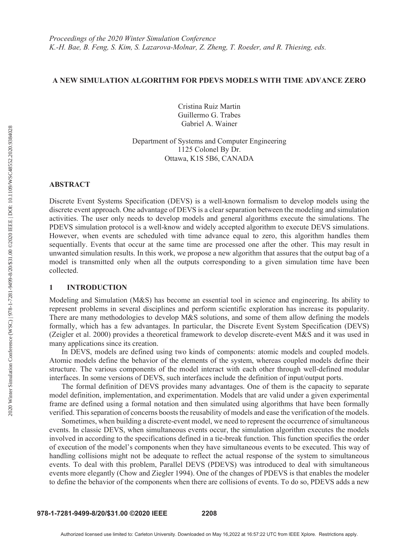# A NEW SIMULATION ALGORITHM FOR PDEVS MODELS WITH TIME ADVANCE ZERO

Cristina Ruiz Martin Guillermo G. Trabes Gabriel A. Wainer

Department of Systems and Computer Engineering 1125 Colonel By Dr. Ottawa, K1S 5B6, CANADA

### ABSTRACT

Discrete Event Systems Specification (DEVS) is a well-known formalism to develop models using the discrete event approach. One advantage of DEVS is a clear separation between the modeling and simulation activities. The user only needs to develop models and general algorithms execute the simulations. The PDEVS simulation protocol is a well-know and widely accepted algorithm to execute DEVS simulations. However, when events are scheduled with time advance equal to zero, this algorithm handles them sequentially. Events that occur at the same time are processed one after the other. This may result in unwanted simulation results. In this work, we propose a new algorithm that assures that the output bag of a model is transmitted only when all the outputs corresponding to a given simulation time have been collected.

#### 1 INTRODUCTION

Modeling and Simulation (M&S) has become an essential tool in science and engineering. Its ability to represent problems in several disciplines and perform scientific exploration has increase its popularity. There are many methodologies to develop M&S solutions, and some of them allow defining the models formally, which has a few advantages. In particular, the Discrete Event System Specification (DEVS) (Zeigler et al. 2000) provides a theoretical framework to develop discrete-event M&S and it was used in many applications since its creation.

 In DEVS, models are defined using two kinds of components: atomic models and coupled models. Atomic models define the behavior of the elements of the system, whereas coupled models define their structure. The various components of the model interact with each other through well-defined modular interfaces. In some versions of DEVS, such interfaces include the definition of input/output ports.

 The formal definition of DEVS provides many advantages. One of them is the capacity to separate model definition, implementation, and experimentation. Models that are valid under a given experimental frame are defined using a formal notation and then simulated using algorithms that have been formally verified. This separation of concerns boosts the reusability of models and ease the verification of the models.

 Sometimes, when building a discrete-event model, we need to represent the occurrence of simultaneous events. In classic DEVS, when simultaneous events occur, the simulation algorithm executes the models involved in according to the specifications defined in a tie-break function. This function specifies the order of execution of the model's components when they have simultaneous events to be executed. This way of handling collisions might not be adequate to reflect the actual response of the system to simultaneous events. To deal with this problem, Parallel DEVS (PDEVS) was introduced to deal with simultaneous events more elegantly (Chow and Ziegler 1994). One of the changes of PDEVS is that enables the modeler to define the behavior of the components when there are collisions of events. To do so, PDEVS adds a new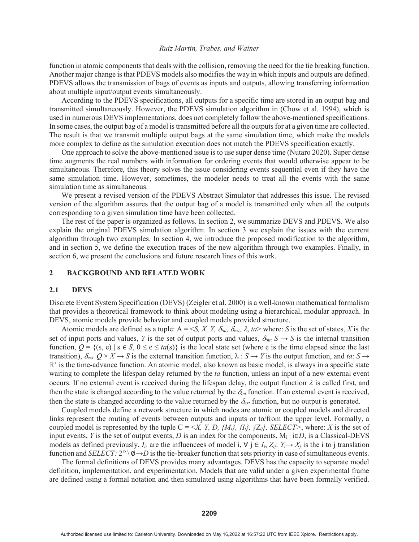function in atomic components that deals with the collision, removing the need for the tie breaking function. Another major change is that PDEVS models also modifies the way in which inputs and outputs are defined. PDEVS allows the transmission of bags of events as inputs and outputs, allowing transferring information about multiple input/output events simultaneously.

 According to the PDEVS specifications, all outputs for a specific time are stored in an output bag and transmitted simultaneously. However, the PDEVS simulation algorithm in (Chow et al. 1994), which is used in numerous DEVS implementations, does not completely follow the above-mentioned specifications. In some cases, the output bag of a model is transmitted before all the outputs for at a given time are collected. The result is that we transmit multiple output bags at the same simulation time, which make the models more complex to define as the simulation execution does not match the PDEVS specification exactly.

 One approach to solve the above-mentioned issue is to use super dense time (Nutaro 2020). Super dense time augments the real numbers with information for ordering events that would otherwise appear to be simultaneous. Therefore, this theory solves the issue considering events sequential even if they have the same simulation time. However, sometimes, the modeler needs to treat all the events with the same simulation time as simultaneous.

We present a revised version of the PDEVS Abstract Simulator that addresses this issue. The revised version of the algorithm assures that the output bag of a model is transmitted only when all the outputs corresponding to a given simulation time have been collected.

 The rest of the paper is organized as follows. In section 2, we summarize DEVS and PDEVS. We also explain the original PDEVS simulation algorithm. In section 3 we explain the issues with the current algorithm through two examples. In section 4, we introduce the proposed modification to the algorithm, and in section 5, we define the execution traces of the new algorithm through two examples. Finally, in section 6, we present the conclusions and future research lines of this work.

### 2 BACKGROUND AND RELATED WORK

#### 2.1 DEVS

Discrete Event System Specification (DEVS) (Zeigler et al. 2000) is a well-known mathematical formalism that provides a theoretical framework to think about modeling using a hierarchical, modular approach. In DEVS, atomic models provide behavior and coupled models provided structure.

Atomic models are defined as a tuple:  $A = \langle S, X, Y, \delta_{\text{int}}, \delta_{\text{ext}}, \lambda, ta \rangle$  where: *S* is the set of states, *X* is the set of input ports and values, *Y* is the set of output ports and values,  $\delta_{int}$ :  $S \rightarrow S$  is the internal transition function,  $Q = \{(s, e) \mid s \in S, 0 \le e \le ta(s)\}\$ is the local state set (where e is the time elapsed since the last transition),  $\delta_{\text{ext}}: Q \times X \to S$  is the external transition function,  $\lambda: S \to Y$  is the output function, and *ta*:  $S \to$ ℝ+ is the time-advance function. An atomic model, also known as basic model, is always in a specific state waiting to complete the lifespan delay returned by the *ta* function, unless an input of a new external event occurs. If no external event is received during the lifespan delay, the output function  $\lambda$  is called first, and then the state is changed according to the value returned by the  $\delta_{in}$  function. If an external event is received, then the state is changed according to the value returned by the  $\delta_{\text{ext}}$  function, but no output is generated.

 Coupled models define a network structure in which nodes are atomic or coupled models and directed links represent the routing of events between outputs and inputs or to/from the upper level. Formally, a coupled model is represented by the tuple  $C = \langle X, Y, D, \{M_i\}, \{I_i\}, \{Z_{ii}\}\rangle$ , SELECT>, where: *X* is the set of input events, *Y* is the set of output events, *D* is an index for the components,  $M_i \mid i \in D$ , is a Classical-DEVS models as defined previously,  $I_i$ , are the influencees of model i,  $\forall$  j  $\in I_i$ ,  $Z_{ij}$ :  $Y_i \rightarrow X_j$  is the i to j translation function and *SELECT*:  $2^D \setminus \emptyset \rightarrow D$  is the tie-breaker function that sets priority in case of simultaneous events.

 The formal definitions of DEVS provides many advantages. DEVS has the capacity to separate model definition, implementation, and experimentation. Models that are valid under a given experimental frame are defined using a formal notation and then simulated using algorithms that have been formally verified.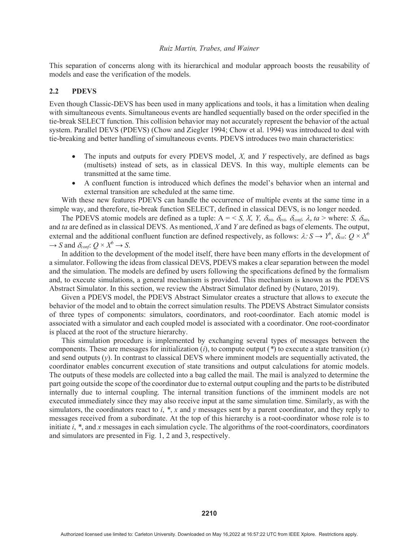This separation of concerns along with its hierarchical and modular approach boosts the reusability of models and ease the verification of the models.

# 2.2 PDEVS

Even though Classic-DEVS has been used in many applications and tools, it has a limitation when dealing with simultaneous events. Simultaneous events are handled sequentially based on the order specified in the tie-break SELECT function. This collision behavior may not accurately represent the behavior of the actual system. Parallel DEVS (PDEVS) (Chow and Ziegler 1994; Chow et al. 1994) was introduced to deal with tie-breaking and better handling of simultaneous events. PDEVS introduces two main characteristics:

- x The inputs and outputs for every PDEVS model, *X,* and *Y* respectively, are defined as bags (multisets) instead of sets, as in classical DEVS. In this way, multiple elements can be transmitted at the same time.
- A confluent function is introduced which defines the model's behavior when an internal and external transition are scheduled at the same time.

 With these new features PDEVS can handle the occurrence of multiple events at the same time in a simple way, and therefore, tie-break function SELECT, defined in classical DEVS, is no longer needed.

The PDEVS atomic models are defined as a tuple:  $A = \langle S, X, Y, \delta_{int}, \delta_{ext}, \delta_{cont}, \lambda, ta \rangle$  where: *S,*  $\delta_{int}$ , and *ta* are defined as in classical DEVS. As mentioned, *X* and *Y* are defined as bags of elements. The output, external and the additional confluent function are defined respectively, as follows:  $\lambda: S \to Y^b$ ,  $\delta_{ext}: Q \times X^b$  $\rightarrow$  *S* and  $\delta_{\text{conf}}$ :  $Q \times X^b \rightarrow S$ .

 In addition to the development of the model itself, there have been many efforts in the development of a simulator. Following the ideas from classical DEVS, PDEVS makes a clear separation between the model and the simulation. The models are defined by users following the specifications defined by the formalism and, to execute simulations, a general mechanism is provided. This mechanism is known as the PDEVS Abstract Simulator. In this section, we review the Abstract Simulator defined by (Nutaro, 2019).

 Given a PDEVS model, the PDEVS Abstract Simulator creates a structure that allows to execute the behavior of the model and to obtain the correct simulation results. The PDEVS Abstract Simulator consists of three types of components: simulators, coordinators, and root-coordinator. Each atomic model is associated with a simulator and each coupled model is associated with a coordinator. One root-coordinator is placed at the root of the structure hierarchy.

 This simulation procedure is implemented by exchanging several types of messages between the components. These are messages for initialization (*i*), to compute output (*\**) to execute a state transition (*x*) and send outputs (*y*). In contrast to classical DEVS where imminent models are sequentially activated, the coordinator enables concurrent execution of state transitions and output calculations for atomic models. The outputs of these models are collected into a bag called the mail. The mail is analyzed to determine the part going outside the scope of the coordinator due to external output coupling and the parts to be distributed internally due to internal coupling. The internal transition functions of the imminent models are not executed immediately since they may also receive input at the same simulation time. Similarly, as with the simulators, the coordinators react to *i*, *\**, *x* and *y* messages sent by a parent coordinator, and they reply to messages received from a subordinate. At the top of this hierarchy is a root-coordinator whose role is to initiate *i*, *\**, and *x* messages in each simulation cycle. The algorithms of the root-coordinators, coordinators and simulators are presented in Fig. 1, 2 and 3, respectively.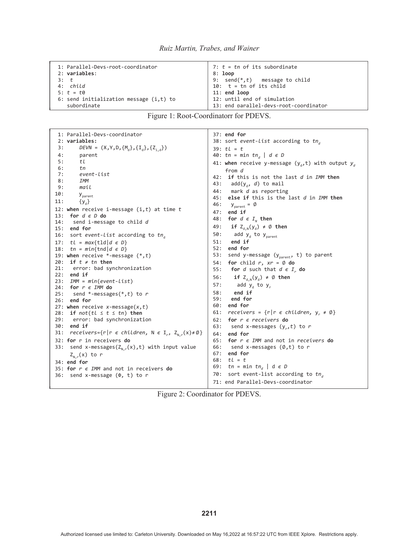| 1: Parallel-Devs-root-coordinator          | 7: $t = tn$ of its subordinate         |  |  |
|--------------------------------------------|----------------------------------------|--|--|
| 2: variables:                              | 8: loop                                |  |  |
| $3:$ $\pm$                                 | 9: send $(*,t)$ message to child       |  |  |
| 4: child                                   | 10: $t = tn$ of its child              |  |  |
| 5: $t = t0$                                | 11: end loop                           |  |  |
| 6: send initialization message $(i, t)$ to | 12: until end of simulation            |  |  |
| subordinate                                | 13: end parallel-devs-root-coordinator |  |  |

# Figure 1: Root-Coordinatorr for PDEVS.

| 1: Parallel-Devs-coordinator<br>2: variables:                                         | 37: end for<br>38: sort event-list according to $tn_{d}$         |  |  |  |
|---------------------------------------------------------------------------------------|------------------------------------------------------------------|--|--|--|
| $DEVN = (X, Y, D, {M_d}, {I_d}, {Z_{i,d}})$<br>3:                                     | $39: tL = t$                                                     |  |  |  |
| 4:<br>parent                                                                          | 40: tn = min tn <sub>d</sub>   d $\epsilon$ D                    |  |  |  |
| 5:<br>tl                                                                              | 41: when receive y-message (y <sub>d</sub> ,t) with output $y_d$ |  |  |  |
| 6:<br>tn                                                                              | from d                                                           |  |  |  |
| 7:<br>event-list                                                                      | 42: if this is not the last d in IMM then                        |  |  |  |
| 8:<br>IMM                                                                             | 43:<br>$add(y_d, d)$ to mail                                     |  |  |  |
| 9:<br>mail                                                                            | 44:<br>mark <i>d</i> as reporting                                |  |  |  |
| 10:<br>$y_{\text{parent}}$                                                            | 45: else if this is the last d in IMM then                       |  |  |  |
| 11:<br>${y_a}$                                                                        | 46:<br>$y_{parent} = \emptyset$                                  |  |  |  |
| 12: when receive i-message $(i, t)$ at time t                                         | 47:<br>end if                                                    |  |  |  |
| for $d \in D$ do<br>13:                                                               | 48:<br>for $d \in I_{\scriptscriptstyle N}$ then                 |  |  |  |
| 14:<br>send i-message to child <i>d</i><br>15: end for                                | if $Z_{d,N}(y_d) \neq \emptyset$ then<br>49:                     |  |  |  |
| 16: sort event-list according to $tn_d$                                               | 50:<br>add $y_d$ to $y_{parent}$                                 |  |  |  |
| 17: $tl = max\{tld   d \in D\}$                                                       | end if<br>51:                                                    |  |  |  |
| 18: $tn = min\{tnd   d \in D\}$                                                       | 52: end for                                                      |  |  |  |
| 19: when receive *-message $(*,t)$                                                    | 53:<br>send y-message ( $y_{parent}$ , t) to parent              |  |  |  |
| 20: if $t \neq tn$ then                                                               | 54:<br>for child r, $xr = \emptyset$ do                          |  |  |  |
| 21:<br>error: bad synchronization                                                     | 55:<br><b>for</b> d such that $d \in I_r$ do                     |  |  |  |
| $22:$ end if                                                                          | 56:<br>if $Z_{d,N}(y_d) \neq \emptyset$ then                     |  |  |  |
| 23:<br>IMM = min(event-list)                                                          | 57:<br>add y <sub>d</sub> to y <sub>r</sub>                      |  |  |  |
| 24: for $r \in IMM$ do<br>25:                                                         | 58:<br>end if                                                    |  |  |  |
| send *-messages(*, $t$ ) to $r$<br>26: end for                                        | 59:<br>end for                                                   |  |  |  |
| 27: when receive x-message( $x, t$ )                                                  | 60:<br>end for                                                   |  |  |  |
| 28: if $not(t \leq t \leq tn)$ then                                                   | 61:<br>receivers = $\{r   r \in children, y_r \neq \emptyset\}$  |  |  |  |
| 29:<br>error: bad synchronization                                                     | 62: for $r \in$ receivers do                                     |  |  |  |
| 30:<br>end if                                                                         | 63:<br>send x-messages $(y_{r},t)$ to r                          |  |  |  |
| receivers={ $r   r \in children$ , $N \in I_r$ , $Z_{N,r}(x) \neq \emptyset$ }<br>31: | 64:<br>end for                                                   |  |  |  |
| 32: for r in receivers do                                                             | 65: for $r \in IMM$ and not in receivers do                      |  |  |  |
| send x-messages( $Z_{N,r}(x)$ ,t) with input value<br>33:                             | 66:<br>send x-messages (Ø,t) to r                                |  |  |  |
| $Z_{N,r}(x)$ to r                                                                     | 67: end for                                                      |  |  |  |
| 34: end for                                                                           | $68:$ $tl = t$                                                   |  |  |  |
| 35: for $r \in IMM$ and not in receivers do                                           | 69:<br>tn = min tn <sub>a</sub>   d $\epsilon$ D                 |  |  |  |
| 36: send x-message $(\Phi, t)$ to r                                                   | sort event-list according to $tn_{d}$<br>70:                     |  |  |  |
|                                                                                       | 71: end Parallel-Devs-coordinator                                |  |  |  |

Figure 2: Coordinator for PDEVS.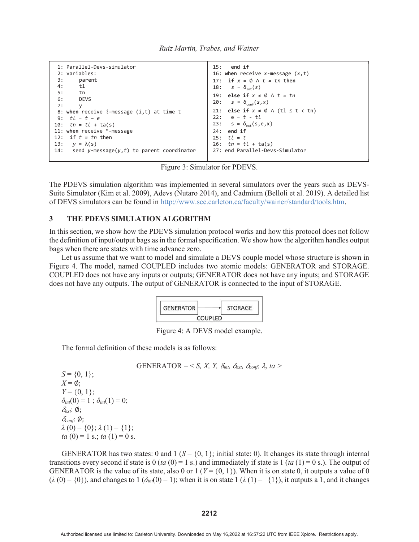| Ruiz Martin, Trabes, and Wainer |  |  |  |
|---------------------------------|--|--|--|
|---------------------------------|--|--|--|

```
1: Parallel-Devs-simulator
  2: variables:
 3: parent
  4: tl
 5: tn
  6: DEVS
 7: y
 8: when receive i-message (i,t) at time t
 9: tl = t – e
10: tn = tl + ta(s)
11: when receive *-message
12: if t = tn then
13: y = λ(s)
      send y-message(y,t) to parent coordinator
                                                             15: end if
                                                            16: when receive x-message (x,t)
                                                            17: if x = \emptyset \land t = tn then<br>18: s = \delta_{int}(s)s = \delta_{\text{int}}(s)19: else if x \neq \emptyset \wedge t = tn20: s = \delta_{\text{conf}}(s, x)21: else if x \neq \emptyset \wedge (tl \leq t \lt tn)
                                                            22: e = t - tl
                                                            23: s = \delta_{ext}(s, e, x)24: end if
                                                            25: tl = t
                                                            26: tn = tl + ta(s)27: end Parallel-Devs-Simulator
```
Figure 3: Simulator for PDEVS.

The PDEVS simulation algorithm was implemented in several simulators over the years such as DEVS-Suite Simulator (Kim et al. 2009), Adevs (Nutaro 2014), and Cadmium (Belloli et al. 2019). A detailed list of DEVS simulators can be found in http://www.sce.carleton.ca/faculty/wainer/standard/tools.htm.

### 3 THE PDEVS SIMULATION ALGORITHM

In this section, we show how the PDEVS simulation protocol works and how this protocol does not follow the definition of input/output bags as in the formal specification. We show how the algorithm handles output bags when there are states with time advance zero.

 Let us assume that we want to model and simulate a DEVS couple model whose structure is shown in Figure 4. The model, named COUPLED includes two atomic models: GENERATOR and STORAGE. COUPLED does not have any inputs or outputs; GENERATOR does not have any inputs; and STORAGE does not have any outputs. The output of GENERATOR is connected to the input of STORAGE.



Figure 4: A DEVS model example.

The formal definition of these models is as follows:

$$
GENERALOR = \langle S, X, Y, \delta_{int}, \delta_{ext}, \delta_{conf}, \lambda, ta \rangle
$$

 $S = \{0, 1\};$  $X = \emptyset$ :  $Y = \{0, 1\}$ ;  $\delta_{int}(0) = 1$ ;  $\delta_{int}(1) = 0$ ;  $\delta_{ext}$ :  $\varnothing$ ;  $\delta_{conf.}$  $\emptyset$ ;  $\lambda(0) = \{0\}; \lambda(1) = \{1\};$ *ta*  $(0) = 1$  s.; *ta*  $(1) = 0$  s.

GENERATOR has two states: 0 and 1 ( $S = \{0, 1\}$ ; initial state: 0). It changes its state through internal transitions every second if state is  $0$  (*ta*  $(0) = 1$  s.) and immediately if state is  $1$  (*ta*  $(1) = 0$  s.). The output of GENERATOR is the value of its state, also 0 or 1 ( $Y = \{0, 1\}$ ). When it is on state 0, it outputs a value of 0  $(\lambda(0) = \{0\})$ , and changes to  $1(\delta_{in}(0) = 1)$ ; when it is on state  $1(\lambda(1) = \{1\})$ , it outputs a 1, and it changes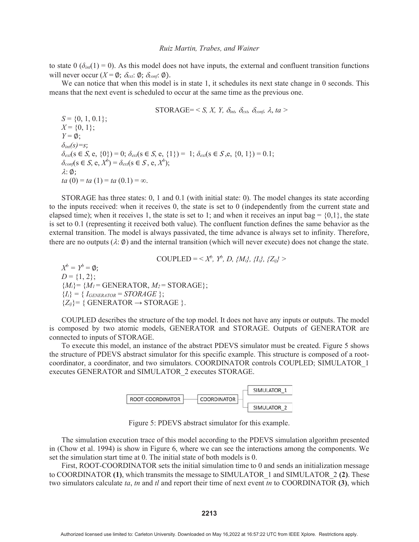to state  $0 \left( \delta_{in}(1) = 0 \right)$ . As this model does not have inputs, the external and confluent transition functions will never occur  $(X = \emptyset; \delta_{ext}: \emptyset; \delta_{conf}: \emptyset)$ .

We can notice that when this model is in state 1, it schedules its next state change in 0 seconds. This means that the next event is scheduled to occur at the same time as the previous one.

 $STORAGE = \langle S, X, Y, \delta_{int}, \delta_{ext}, \delta_{cont}, \lambda, ta \rangle$  $S = \{0, 1, 0.1\};\$  $X = \{0, 1\};$  $Y = \emptyset$ ;  $\delta_{int}(s)=s$ ;  $\delta_{ext}(s \in S, e, \{0\}) = 0; \delta_{ext}(s \in S, e, \{1\}) = 1; \delta_{ext}(s \in S, e, \{0, 1\}) = 0.1;$  $\delta_{conf}(s \in S, e, X^b) = \delta_{ext}(s \in S, e, X^b);$  $\lambda$ : Ø: *ta*  $(0) = ta(1) = ta(0.1) = \infty$ .

STORAGE has three states: 0, 1 and 0.1 (with initial state: 0). The model changes its state according to the inputs received: when it receives 0, the state is set to 0 (independently from the current state and elapsed time); when it receives 1, the state is set to 1; and when it receives an input bag =  $\{0,1\}$ , the state is set to 0.1 (representing it received both value). The confluent function defines the same behavior as the external transition. The model is always passivated, the time advance is always set to infinity. Therefore, there are no outputs ( $\lambda$ :  $\emptyset$ ) and the internal transition (which will never execute) does not change the state.

$$
COUPEED = \langle X^b, Y^b, D, \{M_i\}, \{I_i\}, \{Z_{ij}\} \rangle
$$

 $X^b = Y^b = \emptyset$ ;  $D = \{1, 2\};$  ${M<sub>i</sub>} = {M<sub>l</sub>} =$  GENERATOR,  $M<sub>2</sub> =$  STORAGE};  ${I_i} = {I_{GENERATOR} = STORAGE};$  ${Z_{ij}}$  = { GENERATOR  $\rightarrow$  STORAGE }.

COUPLED describes the structure of the top model. It does not have any inputs or outputs. The model is composed by two atomic models, GENERATOR and STORAGE. Outputs of GENERATOR are connected to inputs of STORAGE.

To execute this model, an instance of the abstract PDEVS simulator must be created. Figure 5 shows the structure of PDEVS abstract simulator for this specific example. This structure is composed of a rootcoordinator, a coordinator, and two simulators. COORDINATOR controls COUPLED; SIMULATOR\_1 executes GENERATOR and SIMULATOR\_2 executes STORAGE.



Figure 5: PDEVS abstract simulator for this example.

 The simulation execution trace of this model according to the PDEVS simulation algorithm presented in (Chow et al. 1994) is show in Figure 6, where we can see the interactions among the components. We set the simulation start time at 0. The initial state of both models is 0.

 First, ROOT-COORDINATOR sets the initial simulation time to 0 and sends an initialization message to COORDINATOR (1), which transmits the message to SIMULATOR 1 and SIMULATOR 2 (2). These two simulators calculate *ta*, *tn* and *tl* and report their time of next event *tn* to COORDINATOR (3), which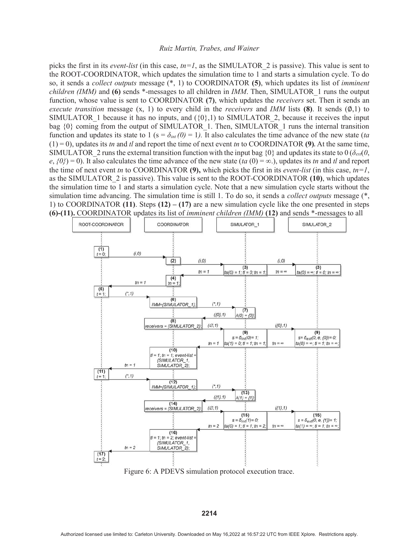picks the first in its *event-list* (in this case, *tn=1*, as the SIMULATOR\_2 is passive). This value is sent to the ROOT-COORDINATOR, which updates the simulation time to 1 and starts a simulation cycle. To do so, it sends a *collect outputs* message (\*, 1) to COORDINATOR (5), which updates its list of *imminent children (IMM)* and (6) sends \*-messages to all children in *IMM*. Then, SIMULATOR 1 runs the output function, whose value is sent to COORDINATOR (7), which updates the *receivers* set. Then it sends an *execute transition* message  $(x, 1)$  to every child in the *receivers* and *IMM* lists (8). It sends ( $\varphi$ ,1) to SIMULATOR 1 because it has no inputs, and  $({0},1)$  to SIMULATOR 2, because it receives the input bag  $\{0\}$  coming from the output of SIMULATOR 1. Then, SIMULATOR 1 runs the internal transition function and updates its state to 1 ( $s = \delta_{int}(0) = 1$ ). It also calculates the time advance of the new state (*ta*  $(1) = 0$ ), updates its *tn* and *tl* and report the time of next event *tn* to COORDINATOR (9). At the same time, SIMULATOR 2 runs the external transition function with the input bag  $\{0\}$  and updates its state to  $0$  ( $\delta_{ext}(0,$  $e, \{0\}$  = 0). It also calculates the time advance of the new state (*ta* (0) = ∞.), updates its *tn* and *tl* and report the time of next event *tn* to COORDINATOR (9), which picks the first in its *event-list* (in this case, *tn=1*, as the SIMULATOR 2 is passive). This value is sent to the ROOT-COORDINATOR (10), which updates the simulation time to 1 and starts a simulation cycle. Note that a new simulation cycle starts without the simulation time advancing. The simulation time is still 1. To do so, it sends a *collect outputs* message (\*, 1) to COORDINATOR (11). Steps  $(12) - (17)$  are a new simulation cycle like the one presented in steps (6)-(11). COORDINATOR updates its list of *imminent children (IMM)* (12) and sends \*-messages to all



Figure 6: A PDEVS simulation protocol execution trace.

**2214**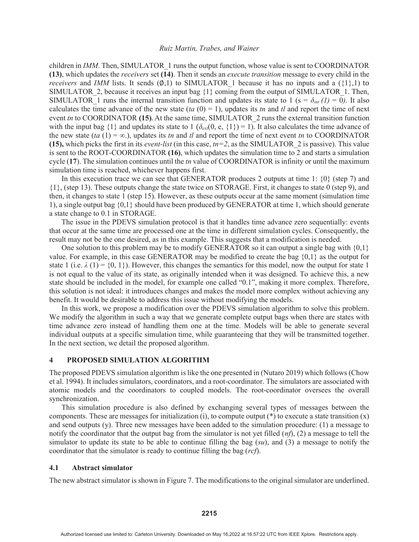children in *IMM*. Then, SIMULATOR\_1 runs the output function, whose value is sent to COORDINATOR (13), which updates the *receivers* set (14). Then it sends an *execute transition* message to every child in the *receivers* and *IMM* lists. It sends  $(0,1)$  to SIMULATOR 1 because it has no inputs and a ({1},1) to SIMULATOR 2, because it receives an input bag  ${1}$  coming from the output of SIMULATOR 1. Then, SIMULATOR 1 runs the internal transition function and updates its state to 1 (s =  $\delta_{int} (1) = 0$ ). It also calculates the time advance of the new state  $(ta(0) = 1)$ , updates its *tn* and *tl* and report the time of next event *tn* to COORDINATOR (15). At the same time, SIMULATOR 2 runs the external transition function with the input bag  $\{1\}$  and updates its state to 1 ( $\delta_{ext}(0, e, \{1\}) = 1$ ). It also calculates the time advance of the new state ( $ta$  (1) =  $\infty$ ), updates its *tn* and *tl* and report the time of next event *tn* to COORDINATOR (15), which picks the first in its *event-list* (in this case,  $tn=2$ , as the SIMULATOR 2 is passive). This value is sent to the ROOT-COORDINATOR (16), which updates the simulation time to 2 and starts a simulation cycle (17). The simulation continues until the *tn* value of COORDINATOR is infinity or until the maximum simulation time is reached, whichever happens first.

 In this execution trace we can see that GENERATOR produces 2 outputs at time 1: {0} (step 7) and {1}, (step 13). These outputs change the state twice on STORAGE. First, it changes to state 0 (step 9), and then, it changes to state 1 (step 15). However, as these outputs occur at the same moment (simulation time 1), a single output bag {0,1} should have been produced by GENERATOR at time 1, which should generate a state change to 0.1 in STORAGE.

 The issue in the PDEVS simulation protocol is that it handles time advance zero sequentially: events that occur at the same time are processed one at the time in different simulation cycles. Consequently, the result may not be the one desired, as in this example. This suggests that a modification is needed.

 One solution to this problem may be to modify GENERATOR so it can output a single bag with {0,1} value. For example, in this case GENERATOR may be modified to create the bag {0,1} as the output for state 1 (i.e.  $\lambda$  (1) = {0, 1}). However, this changes the semantics for this model, now the output for state 1 is not equal to the value of its state, as originally intended when it was designed. To achieve this, a new state should be included in the model, for example one called "0.1", making it more complex. Therefore, this solution is not ideal: it introduces changes and makes the model more complex without achieving any benefit. It would be desirable to address this issue without modifying the models.

 In this work, we propose a modification over the PDEVS simulation algorithm to solve this problem. We modify the algorithm in such a way that we generate complete output bags when there are states with time advance zero instead of handling them one at the time. Models will be able to generate several individual outputs at a specific simulation time, while guaranteeing that they will be transmitted together. In the next section, we detail the proposed algorithm.

### 4 PROPOSED SIMULATION ALGORITHM

The proposed PDEVS simulation algorithm is like the one presented in (Nutaro 2019) which follows (Chow et al. 1994). It includes simulators, coordinators, and a root-coordinator. The simulators are associated with atomic models and the coordinators to coupled models. The root-coordinator oversees the overall synchronization.

 This simulation procedure is also defined by exchanging several types of messages between the components. These are messages for initialization (i), to compute output  $(*)$  to execute a state transition  $(x)$ and send outputs (y). Three new messages have been added to the simulation procedure: (1) a message to notify the coordinator that the output bag from the simulator is not yet filled (*nf*), (2) a message to tell the simulator to update its state to be able to continue filling the bag (*su*), and (3) a message to notify the coordinator that the simulator is ready to continue filling the bag (*rcf*).

#### 4.1 Abstract simulator

The new abstract simulator is shown in Figure 7. The modifications to the original simulator are underlined.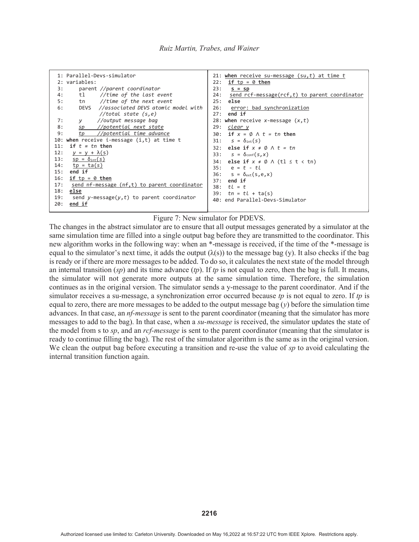

#### Figure 7: New simulator for PDEVS.

The changes in the abstract simulator are to ensure that all output messages generated by a simulator at the same simulation time are filled into a single output bag before they are transmitted to the coordinator. This new algorithm works in the following way: when an \*-message is received, if the time of the \*-message is equal to the simulator's next time, it adds the output  $(\lambda(s))$  to the message bag (y). It also checks if the bag is ready or if there are more messages to be added. To do so, it calculates the next state of the model through an internal transition (*sp*) and its time advance (*tp*). If *tp* is not equal to zero, then the bag is full. It means, the simulator will not generate more outputs at the same simulation time. Therefore, the simulation continues as in the original version. The simulator sends a y-message to the parent coordinator. And if the simulator receives a su-message, a synchronization error occurred because *tp* is not equal to zero. If *tp* is equal to zero, there are more messages to be added to the output message bag  $(y)$  before the simulation time advances. In that case, an *nf-message* is sent to the parent coordinator (meaning that the simulator has more messages to add to the bag). In that case, when a *su-message* is received, the simulator updates the state of the model from s to *sp*, and an *rcf-message* is sent to the parent coordinator (meaning that the simulator is ready to continue filling the bag). The rest of the simulator algorithm is the same as in the original version. We clean the output bag before executing a transition and re-use the value of *sp* to avoid calculating the internal transition function again.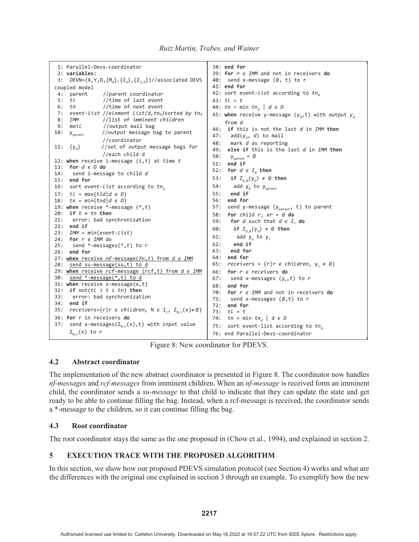```
1: Parallel-Devs-coordinator
  2: variables:
 3: DEVN=(X,Y,D,{M_d},{I_d},{Z_{i,d}})//associated DEVS
coupled model 
 4: parent //parent coordinator<br>5: tl //time of last event
                  5: tl //time of last event
 6: tn //time of next event 
7: event-list //element list(d,tna)sorted by tna<br>8: IMM         //list of imminent children
             8: IMM //list of imminent children
 9: mail //output mail bag 
10: y_{\text{parent}} //output message bag to parent
\{y_a\} //coordinator<br>11: \{y_a\} //set of outpu
                //set of output message bags for
                  //each child d
12: when receive i-message (i,t) at time t
13: for d є D do
14: send i-message to child d
15: end for
16: sort event-list according to tn_d17: tl = max{tld|d є D}
18: tn = min\{tn | d \in D\}19: when receive *-message (*,t)
20: if t ≠ tn then
21: error: bad synchronization
22: end if
23: IMM = min(event-list)
24: for r є IMM do
25: send *-messages(*,t) to r
26: end for 
27: when receive nf-message(fn,t) from d є IMM
28: send su-message(su,t) to d
29: when receive rcf-message (rcf,t) from d є IMM
30: send *-message(*,t) to d 
31: when receive x-message(x,t)
32: if not(tl ≤ t ≤ tn) then
33: error: bad synchronization
34: end if
35: receivers={r|r \in children, N \in I_r, Z_{N,r}(x) \neq \emptyset}
36: for r in receivers do
37: send x-messages(Z_{N,r}(x),t) with input value
     Z_{N,r}(x) to r
                                                          38: end for
                                                          39: for r є IMM and not in receivers do
                                                          40: send x-message (\emptyset, t) to r
                                                          41: end for
                                                          42: sort event-list according to tn_{d}43: tl = t
                                                          44: tn = min \ t n_d \mid d \ \epsilon \ D45: when receive y-message (y_d, t) with output y_d from d
                                                          46: if this is not the last d in IMM then
                                                          47: add(y_d, d) to mail
                                                          48: mark d as reporting
                                                          49: else if this is the last d in IMM then
                                                          50: y_{parent} = \emptyset51: end if
                                                          52: for d \in I_n then
                                                          53: if Z_{d,N}(y_d) \neq \emptyset then
                                                          54: add y_d to y_{parent}55: end if
                                                          56: end for
                                                          57: send y-message (y_{parent}, t) to parent
                                                          58: for child r, xr = \emptyset do
                                                          59: for d such that d \in I do
                                                          60: if Z_{d,N}(y_d) \neq \emptyset then
                                                          61: add y_d to y_r62: end if
                                                          63: end for
                                                          64: end for
                                                          65: receivers = \{r | r \in children, y_r \neq \emptyset\}66: for r є receivers do
                                                          67: send x-messages (y_r, t) to r68: end for
                                                          70: for r є IMM and not in receivers do
                                                          71: send x-messages (\emptyset, t) to r
                                                          72: end for
                                                          73: tl = t
                                                          74: tn = min \ t n_d \mid d \ \epsilon \ D75: sort event-list according to tn_d76: end Parallel-Devs-coordinator
```
Figure 8: New coordinator for PDEVS.

# 4.2 Abstract coordinator

The implementation of the new abstract coordinator is presented in Figure 8. The coordinator now handles *nf-messages* and *rcf-messages* from imminent children. When an *nf-message* is received form an imminent child, the coordinator sends a *su-message* to that child to indicate that they can update the state and get ready to be able to continue filling the bag. Instead, when a rcf-message is received, the coordinator sends a \*-message to the children, so it can continue filling the bag.

# 4.3 Root coordinator

The root coordinator stays the same as the one proposed in (Chow et al., 1994), and explained in section 2.

# 5 EXECUTION TRACE WITH THE PROPOSED ALGORITHM

In this section, we show how our proposed PDEVS simulation protocol (see Section 4) works and what are the differences with the original one explained in section 3 through an example. To exemplify how the new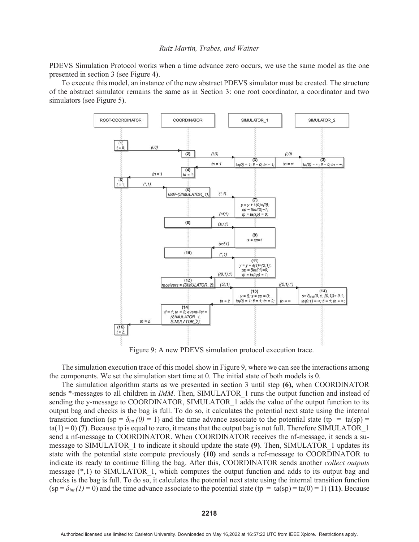PDEVS Simulation Protocol works when a time advance zero occurs, we use the same model as the one presented in section 3 (see Figure 4).

 To execute this model, an instance of the new abstract PDEVS simulator must be created. The structure of the abstract simulator remains the same as in Section 3: one root coordinator, a coordinator and two simulators (see Figure 5).



Figure 9: A new PDEVS simulation protocol execution trace.

 The simulation execution trace of this model show in Figure 9, where we can see the interactions among the components. We set the simulation start time at 0. The initial state of both models is 0.

 The simulation algorithm starts as we presented in section 3 until step (6), when COORDINATOR sends \*-messages to all children in *IMM*. Then, SIMULATOR\_1 runs the output function and instead of sending the y-message to COORDINATOR, SIMULATOR 1 adds the value of the output function to its output bag and checks is the bag is full. To do so, it calculates the potential next state using the internal transition function (sp =  $\delta_{int}(0)$  = 1) and the time advance associate to the potential state (tp = ta(sp) =  $ta(1)=0$  (7). Because tp is equal to zero, it means that the output bag is not full. Therefore SIMULATOR 1 send a nf-message to COORDINATOR. When COORDINATOR receives the nf-message, it sends a sumessage to SIMULATOR 1 to indicate it should update the state (9). Then, SIMULATOR 1 updates its state with the potential state compute previously (10) and sends a rcf-message to COORDINATOR to indicate its ready to continue filling the bag. After this, COORDINATOR sends another *collect outputs* message  $(*,1)$  to SIMULATOR 1, which computes the output function and adds to its output bag and checks is the bag is full. To do so, it calculates the potential next state using the internal transition function  $(sp = \delta_{int}(1) = 0)$  and the time advance associate to the potential state (tp = ta(sp) = ta(0) = 1) (11). Because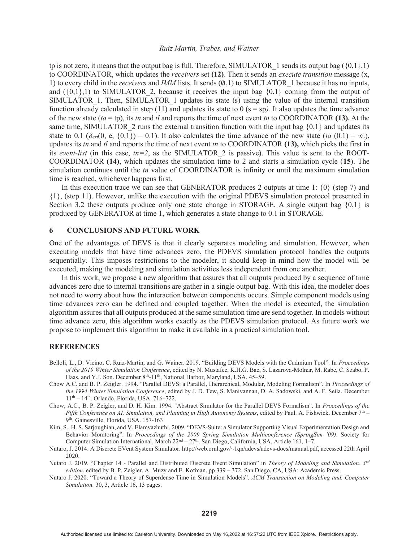tp is not zero, it means that the output bag is full. Therefore, SIMULATOR 1 sends its output bag ( $\{0,1\},1$ ) to COORDINATOR, which updates the *receivers* set (12). Then it sends an *execute transition* message (x, 1) to every child in the *receivers* and *IMM* lists. It sends  $(\emptyset,1)$  to SIMULATOR 1 because it has no inputs, and  $({0,1},1)$  to SIMULATOR 2, because it receives the input bag  ${0,1}$  coming from the output of SIMULATOR 1. Then, SIMULATOR 1 updates its state (s) using the value of the internal transition function already calculated in step (11) and updates its state to 0 (s = sp*).* It also updates the time advance of the new state  $(ta = tp)$ , its *tn* and *tl* and reports the time of next event *tn* to COORDINATOR (13). At the same time, SIMULATOR 2 runs the external transition function with the input bag  ${0,1}$  and updates its state to 0.1  $(\delta_{ext}(0, e, \{0,1\}) = 0.1)$ . It also calculates the time advance of the new state (*ta* (0.1) = ∞.), updates its *tn* and *tl* and reports the time of next event *tn* to COORDINATOR (13), which picks the first in its *event-list* (in this case,  $tn=2$ , as the SIMULATOR 2 is passive). This value is sent to the ROOT-COORDINATOR (14), which updates the simulation time to 2 and starts a simulation cycle (15). The simulation continues until the *tn* value of COORDINATOR is infinity or until the maximum simulation time is reached, whichever happens first.

In this execution trace we can see that GENERATOR produces 2 outputs at time 1:  $\{0\}$  (step 7) and {1}, (step 11). However, unlike the execution with the original PDEVS simulation protocol presented in Section 3.2 these outputs produce only one state change in STORAGE. A single output bag  $\{0,1\}$  is produced by GENERATOR at time 1, which generates a state change to 0.1 in STORAGE.

### 6 CONCLUSIONS AND FUTURE WORK

One of the advantages of DEVS is that it clearly separates modeling and simulation. However, when executing models that have time advances zero, the PDEVS simulation protocol handles the outputs sequentially. This imposes restrictions to the modeler, it should keep in mind how the model will be executed, making the modeling and simulation activities less independent from one another.

 In this work, we propose a new algorithm that assures that all outputs produced by a sequence of time advances zero due to internal transitions are gather in a single output bag. With this idea, the modeler does not need to worry about how the interaction between components occurs. Simple component models using time advances zero can be defined and coupled together. When the model is executed, the simulation algorithm assures that all outputs produced at the same simulation time are send together. In models without time advance zero, this algorithm works exactly as the PDEVS simulation protocol. As future work we propose to implement this algorithm to make it available in a practical simulation tool.

#### **REFERENCES**

- Belloli, L., D. Vicino, C. Ruiz-Martin, and G. Wainer. 2019. "Building DEVS Models with the Cadmium Tool". In *Proceedings of the 2019 Winter Simulation Conference*, edited by N. Mustafee, K.H.G. Bae, S. Lazarova-Molnar, M. Rabe, C. Szabo, P. Haas, and Y.J. Son. December 8<sup>th</sup>-11<sup>th</sup>, National Harbor, Maryland, USA. 45–59.
- Chow A.C. and B. P. Zeigler. 1994. "Parallel DEVS: a Parallel, Hierarchical, Modular, Modeling Formalism". In *Proceedings of the 1994 Winter Simulation Conference*, edited by J. D. Tew, S. Manivannan, D. A. Sadowski, and A. F. Seila. December 11th – 14th. Orlando, Florida, USA. 716–722.
- Chow, A.C., B. P. Zeigler, and D. H. Kim. 1994. "Abstract Simulator for the Parallel DEVS Formalism". In *Proceedings of the Fifth Conference on AI, Simulation, and Planning in High Autonomy Systems*, edited by Paul. A. Fishwick. December 7th – 9<sup>th</sup>. Gainesville, Florida, USA. 157-163
- Kim, S., H. S. Sarjoughian, and V. Elamvazhuthi. 2009. "DEVS-Suite: a Simulator Supporting Visual Experimentation Design and Behavior Monitoring". In *Proceedings of the 2009 Spring Simulation Multiconference (SpringSim '09)*. Society for Computer Simulation International, March 22<sup>nd</sup> – 27<sup>th</sup>. San Diego, California, USA, Article 161, 1–7.
- Nutaro, J. 2014. A Discrete EVent System Simulator. http://web.ornl.gov/~1qn/adevs/adevs-docs/manual.pdf, accessed 22th April 2020.
- Nutaro J. 2019. "Chapter 14 Parallel and Distributed Discrete Event Simulation" in *Theory of Modeling and Simulation. 3rd edition*, edited by B. P. Zeigler, A. Muzy and E. Kofman. pp 339 – 372. San Diego, CA, USA: Academic Press.
- Nutaro J. 2020. "Toward a Theory of Superdense Time in Simulation Models". *ACM Transaction on Modeling and. Computer Simulation.* 30, 3, Article 16, 13 pages.